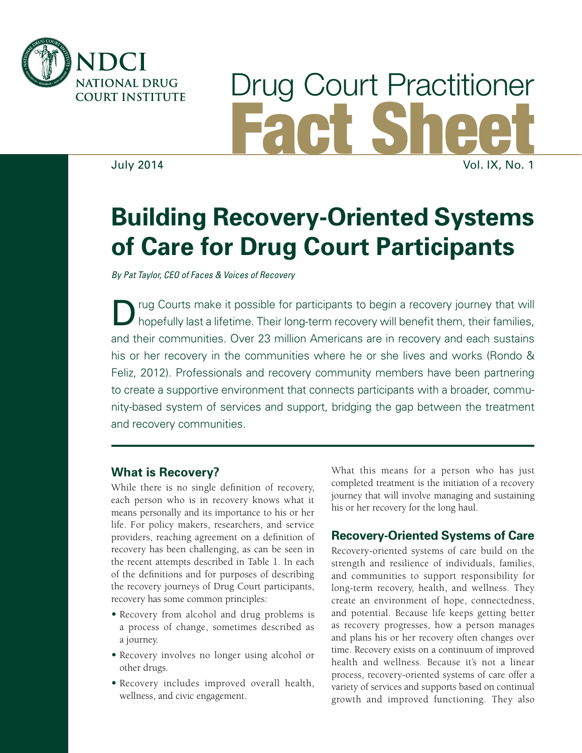

# Drug Court Practitioner Fact Sheet July 2014 Vol. IX, No. 1

# **Building Recovery-Oriented Systems of Care for Drug Court Participants**

*By Pat Taylor, CEO of Faces & Voices of Recovery*

rug Courts make it possible for participants to begin a recovery journey that will hopefully last a lifetime. Their long-term recovery will benefit them, their families, and their communities. Over 23 million Americans are in recovery and each sustains his or her recovery in the communities where he or she lives and works (Rondo & Feliz, 2012). Professionals and recovery community members have been partnering to create a supportive environment that connects participants with a broader, community-based system of services and support, bridging the gap between the treatment and recovery communities.

#### **What is Recovery?**

While there is no single definition of recovery, each person who is in recovery knows what it means personally and its importance to his or her life. For policy makers, researchers, and service providers, reaching agreement on a definition of recovery has been challenging, as can be seen in the recent attempts described in Table 1. In each of the definitions and for purposes of describing the recovery journeys of Drug Court participants, recovery has some common principles:

- Recovery from alcohol and drug problems is a process of change, sometimes described as a journey.
- Recovery involves no longer using alcohol or other drugs.
- Recovery includes improved overall health, wellness, and civic engagement.

What this means for a person who has just completed treatment is the initiation of a recovery journey that will involve managing and sustaining his or her recovery for the long haul.

#### **Recovery-Oriented Systems of Care**

Recovery-oriented systems of care build on the strength and resilience of individuals, families, and communities to support responsibility for long-term recovery, health, and wellness. They create an environment of hope, connectedness, and potential. Because life keeps getting better as recovery progresses, how a person manages and plans his or her recovery often changes over time. Recovery exists on a continuum of improved health and wellness. Because it's not a linear process, recovery-oriented systems of care offer a variety of services and supports based on continual growth and improved functioning. They also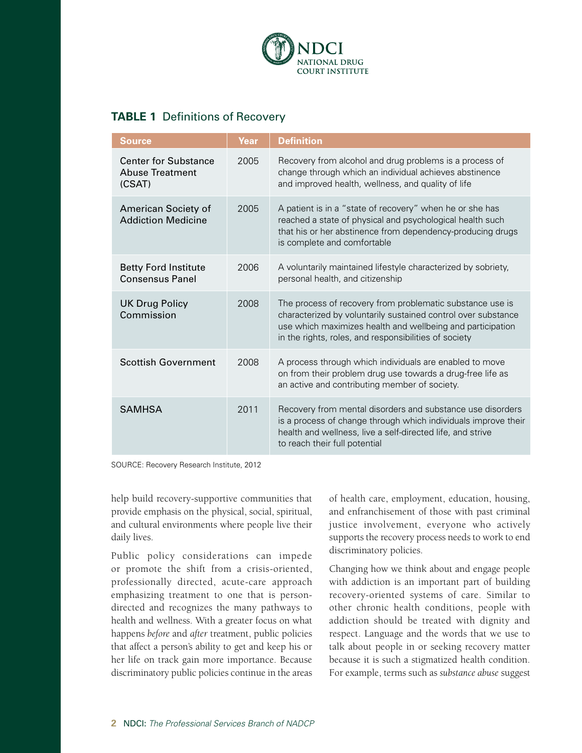

#### **TABLE 1** Definitions of Recovery

| <b>Source</b>                                                   | Year | <b>Definition</b>                                                                                                                                                                                                                                 |
|-----------------------------------------------------------------|------|---------------------------------------------------------------------------------------------------------------------------------------------------------------------------------------------------------------------------------------------------|
| <b>Center for Substance</b><br><b>Abuse Treatment</b><br>(CSAT) | 2005 | Recovery from alcohol and drug problems is a process of<br>change through which an individual achieves abstinence<br>and improved health, wellness, and quality of life                                                                           |
| American Society of<br><b>Addiction Medicine</b>                | 2005 | A patient is in a "state of recovery" when he or she has<br>reached a state of physical and psychological health such<br>that his or her abstinence from dependency-producing drugs<br>is complete and comfortable                                |
| <b>Betty Ford Institute</b><br><b>Consensus Panel</b>           | 2006 | A voluntarily maintained lifestyle characterized by sobriety,<br>personal health, and citizenship                                                                                                                                                 |
| <b>UK Drug Policy</b><br>Commission                             | 2008 | The process of recovery from problematic substance use is<br>characterized by voluntarily sustained control over substance<br>use which maximizes health and wellbeing and participation<br>in the rights, roles, and responsibilities of society |
| <b>Scottish Government</b>                                      | 2008 | A process through which individuals are enabled to move<br>on from their problem drug use towards a drug-free life as<br>an active and contributing member of society.                                                                            |
| <b>SAMHSA</b>                                                   | 2011 | Recovery from mental disorders and substance use disorders<br>is a process of change through which individuals improve their<br>health and wellness, live a self-directed life, and strive<br>to reach their full potential                       |

SOURCE: Recovery Research Institute, 2012

help build recovery-supportive communities that provide emphasis on the physical, social, spiritual, and cultural environments where people live their daily lives.

Public policy considerations can impede or promote the shift from a crisis-oriented, professionally directed, acute-care approach emphasizing treatment to one that is persondirected and recognizes the many pathways to health and wellness. With a greater focus on what happens *before* and *after* treatment, public policies that affect a person's ability to get and keep his or her life on track gain more importance. Because discriminatory public policies continue in the areas

of health care, employment, education, housing, and enfranchisement of those with past criminal justice involvement, everyone who actively supports the recovery process needs to work to end discriminatory policies.

Changing how we think about and engage people with addiction is an important part of building recovery-oriented systems of care. Similar to other chronic health conditions, people with addiction should be treated with dignity and respect. Language and the words that we use to talk about people in or seeking recovery matter because it is such a stigmatized health condition. For example, terms such as *substance abuse* suggest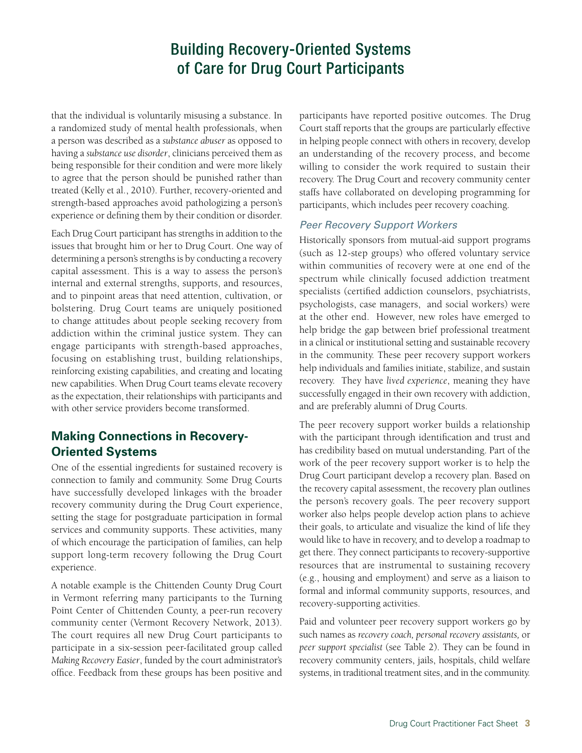## Building Recovery-Oriented Systems of Care for Drug Court Participants

that the individual is voluntarily misusing a substance. In a randomized study of mental health professionals, when a person was described as a *substance abuser* as opposed to having a *substance use disorder*, clinicians perceived them as being responsible for their condition and were more likely to agree that the person should be punished rather than treated (Kelly et al., 2010). Further, recovery-oriented and strength-based approaches avoid pathologizing a person's experience or defining them by their condition or disorder.

Each Drug Court participant has strengths in addition to the issues that brought him or her to Drug Court. One way of determining a person's strengths is by conducting a recovery capital assessment. This is a way to assess the person's internal and external strengths, supports, and resources, and to pinpoint areas that need attention, cultivation, or bolstering. Drug Court teams are uniquely positioned to change attitudes about people seeking recovery from addiction within the criminal justice system. They can engage participants with strength-based approaches, focusing on establishing trust, building relationships, reinforcing existing capabilities, and creating and locating new capabilities. When Drug Court teams elevate recovery as the expectation, their relationships with participants and with other service providers become transformed.

#### **Making Connections in Recovery-Oriented Systems**

One of the essential ingredients for sustained recovery is connection to family and community. Some Drug Courts have successfully developed linkages with the broader recovery community during the Drug Court experience, setting the stage for postgraduate participation in formal services and community supports. These activities, many of which encourage the participation of families, can help support long-term recovery following the Drug Court experience.

A notable example is the Chittenden County Drug Court in Vermont referring many participants to the Turning Point Center of Chittenden County, a peer-run recovery community center (Vermont Recovery Network, 2013). The court requires all new Drug Court participants to participate in a six-session peer-facilitated group called *Making Recovery Easier*, funded by the court administrator's office. Feedback from these groups has been positive and

participants have reported positive outcomes. The Drug Court staff reports that the groups are particularly effective in helping people connect with others in recovery, develop an understanding of the recovery process, and become willing to consider the work required to sustain their recovery. The Drug Court and recovery community center staffs have collaborated on developing programming for participants, which includes peer recovery coaching.

#### *Peer Recovery Support Workers*

Historically sponsors from mutual-aid support programs (such as 12-step groups) who offered voluntary service within communities of recovery were at one end of the spectrum while clinically focused addiction treatment specialists (certified addiction counselors, psychiatrists, psychologists, case managers, and social workers) were at the other end. However, new roles have emerged to help bridge the gap between brief professional treatment in a clinical or institutional setting and sustainable recovery in the community. These peer recovery support workers help individuals and families initiate, stabilize, and sustain recovery. They have *lived experience*, meaning they have successfully engaged in their own recovery with addiction, and are preferably alumni of Drug Courts.

The peer recovery support worker builds a relationship with the participant through identification and trust and has credibility based on mutual understanding. Part of the work of the peer recovery support worker is to help the Drug Court participant develop a recovery plan. Based on the recovery capital assessment, the recovery plan outlines the person's recovery goals. The peer recovery support worker also helps people develop action plans to achieve their goals, to articulate and visualize the kind of life they would like to have in recovery, and to develop a roadmap to get there. They connect participants to recovery-supportive resources that are instrumental to sustaining recovery (e.g., housing and employment) and serve as a liaison to formal and informal community supports, resources, and recovery-supporting activities.

Paid and volunteer peer recovery support workers go by such names as *recovery coach, personal recovery assistants,* or *peer support specialist* (see Table 2). They can be found in recovery community centers, jails, hospitals, child welfare systems, in traditional treatment sites, and in the community.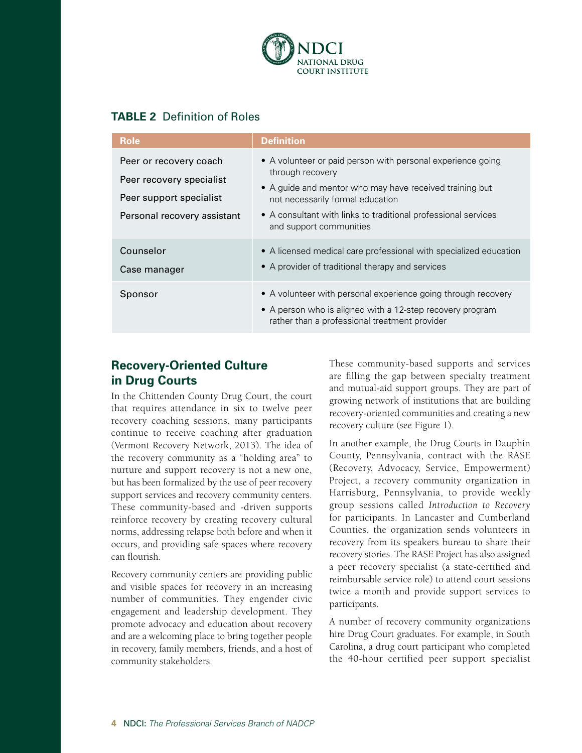

#### **TABLE 2** Definition of Roles

| <b>Role</b>                                                                                                  | Definition                                                                                                                                                                                                                                                                  |
|--------------------------------------------------------------------------------------------------------------|-----------------------------------------------------------------------------------------------------------------------------------------------------------------------------------------------------------------------------------------------------------------------------|
| Peer or recovery coach<br>Peer recovery specialist<br>Peer support specialist<br>Personal recovery assistant | • A volunteer or paid person with personal experience going<br>through recovery<br>• A guide and mentor who may have received training but<br>not necessarily formal education<br>• A consultant with links to traditional professional services<br>and support communities |
| Counselor<br>Case manager                                                                                    | • A licensed medical care professional with specialized education<br>• A provider of traditional therapy and services                                                                                                                                                       |
| Sponsor                                                                                                      | • A volunteer with personal experience going through recovery<br>• A person who is aligned with a 12-step recovery program<br>rather than a professional treatment provider                                                                                                 |

#### **Recovery-Oriented Culture in Drug Courts**

In the Chittenden County Drug Court, the court that requires attendance in six to twelve peer recovery coaching sessions, many participants continue to receive coaching after graduation (Vermont Recovery Network, 2013). The idea of the recovery community as a "holding area" to nurture and support recovery is not a new one, but has been formalized by the use of peer recovery support services and recovery community centers. These community-based and -driven supports reinforce recovery by creating recovery cultural norms, addressing relapse both before and when it occurs, and providing safe spaces where recovery can flourish.

Recovery community centers are providing public and visible spaces for recovery in an increasing number of communities. They engender civic engagement and leadership development. They promote advocacy and education about recovery and are a welcoming place to bring together people in recovery, family members, friends, and a host of community stakeholders.

These community-based supports and services are filling the gap between specialty treatment and mutual-aid support groups. They are part of growing network of institutions that are building recovery-oriented communities and creating a new recovery culture (see Figure 1).

In another example, the Drug Courts in Dauphin County, Pennsylvania, contract with the RASE (Recovery, Advocacy, Service, Empowerment) Project, a recovery community organization in Harrisburg, Pennsylvania, to provide weekly group sessions called *Introduction to Recovery* for participants. In Lancaster and Cumberland Counties, the organization sends volunteers in recovery from its speakers bureau to share their recovery stories. The RASE Project has also assigned a peer recovery specialist (a state-certified and reimbursable service role) to attend court sessions twice a month and provide support services to participants.

A number of recovery community organizations hire Drug Court graduates. For example, in South Carolina, a drug court participant who completed the 40-hour certified peer support specialist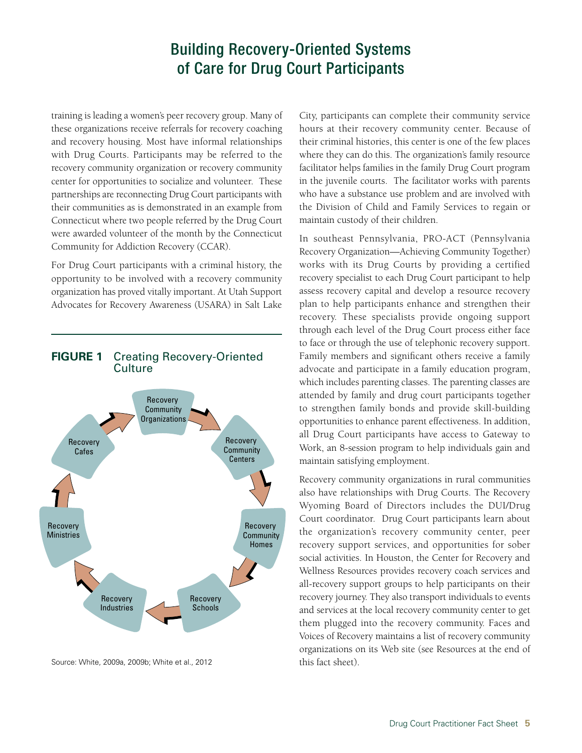### Building Recovery-Oriented Systems of Care for Drug Court Participants

training is leading a women's peer recovery group. Many of these organizations receive referrals for recovery coaching and recovery housing. Most have informal relationships with Drug Courts. Participants may be referred to the recovery community organization or recovery community center for opportunities to socialize and volunteer. These partnerships are reconnecting Drug Court participants with their communities as is demonstrated in an example from Connecticut where two people referred by the Drug Court were awarded volunteer of the month by the Connecticut Community for Addiction Recovery (CCAR).

For Drug Court participants with a criminal history, the opportunity to be involved with a recovery community organization has proved vitally important. At Utah Support Advocates for Recovery Awareness (USARA) in Salt Lake



#### **FIGURE 1** Creating Recovery-Oriented Culture

Source: White, 2009a, 2009b; White et al., 2012

City, participants can complete their community service hours at their recovery community center. Because of their criminal histories, this center is one of the few places where they can do this. The organization's family resource facilitator helps families in the family Drug Court program in the juvenile courts. The facilitator works with parents who have a substance use problem and are involved with the Division of Child and Family Services to regain or maintain custody of their children.

In southeast Pennsylvania, PRO-ACT (Pennsylvania Recovery Organization—Achieving Community Together) works with its Drug Courts by providing a certified recovery specialist to each Drug Court participant to help assess recovery capital and develop a resource recovery plan to help participants enhance and strengthen their recovery. These specialists provide ongoing support through each level of the Drug Court process either face to face or through the use of telephonic recovery support. Family members and significant others receive a family advocate and participate in a family education program, which includes parenting classes. The parenting classes are attended by family and drug court participants together to strengthen family bonds and provide skill-building opportunities to enhance parent effectiveness. In addition, all Drug Court participants have access to Gateway to Work, an 8-session program to help individuals gain and maintain satisfying employment.

Recovery community organizations in rural communities also have relationships with Drug Courts. The Recovery Wyoming Board of Directors includes the DUI/Drug Court coordinator. Drug Court participants learn about the organization's recovery community center, peer recovery support services, and opportunities for sober social activities. In Houston, the Center for Recovery and Wellness Resources provides recovery coach services and all-recovery support groups to help participants on their recovery journey. They also transport individuals to events and services at the local recovery community center to get them plugged into the recovery community. Faces and Voices of Recovery maintains a list of recovery community organizations on its Web site (see Resources at the end of this fact sheet).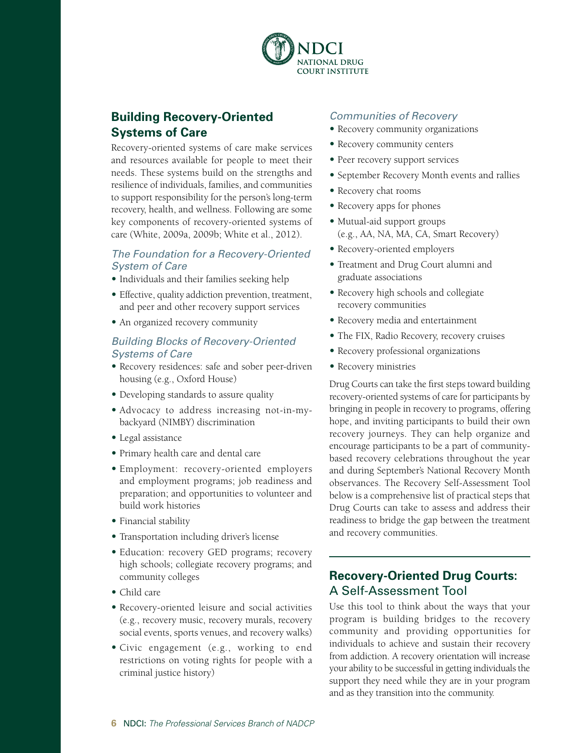

### **Building Recovery-Oriented Systems of Care**

Recovery-oriented systems of care make services and resources available for people to meet their needs. These systems build on the strengths and resilience of individuals, families, and communities to support responsibility for the person's long-term recovery, health, and wellness. Following are some key components of recovery-oriented systems of care (White, 2009a, 2009b; White et al., 2012).

#### *The Foundation for a Recovery-Oriented System of Care*

- Individuals and their families seeking help
- Effective, quality addiction prevention, treatment, and peer and other recovery support services
- An organized recovery community

#### *Building Blocks of Recovery-Oriented Systems of Care*

- Recovery residences: safe and sober peer-driven housing (e.g., Oxford House)
- Developing standards to assure quality
- Advocacy to address increasing not-in-mybackyard (NIMBY) discrimination
- Legal assistance
- Primary health care and dental care
- Employment: recovery-oriented employers and employment programs; job readiness and preparation; and opportunities to volunteer and build work histories
- Financial stability
- Transportation including driver's license
- Education: recovery GED programs; recovery high schools; collegiate recovery programs; and community colleges
- Child care
- Recovery-oriented leisure and social activities (e.g., recovery music, recovery murals, recovery social events, sports venues, and recovery walks)
- Civic engagement (e.g., working to end restrictions on voting rights for people with a criminal justice history)

#### *Communities of Recovery*

- Recovery community organizations
- Recovery community centers
- Peer recovery support services
- September Recovery Month events and rallies
- Recovery chat rooms
- Recovery apps for phones
- Mutual-aid support groups (e.g., AA, NA, MA, CA, Smart Recovery)
- Recovery-oriented employers
- Treatment and Drug Court alumni and graduate associations
- Recovery high schools and collegiate recovery communities
- Recovery media and entertainment
- The FIX, Radio Recovery, recovery cruises
- Recovery professional organizations
- Recovery ministries

Drug Courts can take the first steps toward building recovery-oriented systems of care for participants by bringing in people in recovery to programs, offering hope, and inviting participants to build their own recovery journeys. They can help organize and encourage participants to be a part of communitybased recovery celebrations throughout the year and during September's National Recovery Month observances. The Recovery Self-Assessment Tool below is a comprehensive list of practical steps that Drug Courts can take to assess and address their readiness to bridge the gap between the treatment and recovery communities.

#### **Recovery-Oriented Drug Courts:**  A Self-Assessment Tool

Use this tool to think about the ways that your program is building bridges to the recovery community and providing opportunities for individuals to achieve and sustain their recovery from addiction. A recovery orientation will increase your ability to be successful in getting individuals the support they need while they are in your program and as they transition into the community.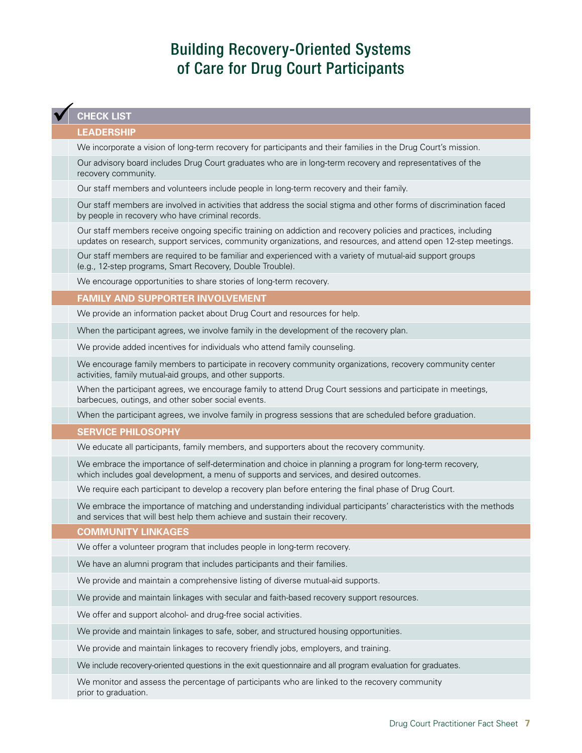# Building Recovery-Oriented Systems of Care for Drug Court Participants

#### **CHECK LIST**

#### **LEADERSHIP**

We incorporate a vision of long-term recovery for participants and their families in the Drug Court's mission.

Our advisory board includes Drug Court graduates who are in long-term recovery and representatives of the recovery community.

Our staff members and volunteers include people in long-term recovery and their family.

Our staff members are involved in activities that address the social stigma and other forms of discrimination faced by people in recovery who have criminal records.

Our staff members receive ongoing specific training on addiction and recovery policies and practices, including updates on research, support services, community organizations, and resources, and attend open 12-step meetings.

Our staff members are required to be familiar and experienced with a variety of mutual-aid support groups (e.g., 12-step programs, Smart Recovery, Double Trouble).

We encourage opportunities to share stories of long-term recovery.

**FAMILY AND SUPPORTER INVOLVEMENT**

We provide an information packet about Drug Court and resources for help.

When the participant agrees, we involve family in the development of the recovery plan.

We provide added incentives for individuals who attend family counseling.

We encourage family members to participate in recovery community organizations, recovery community center activities, family mutual-aid groups, and other supports.

When the participant agrees, we encourage family to attend Drug Court sessions and participate in meetings, barbecues, outings, and other sober social events.

When the participant agrees, we involve family in progress sessions that are scheduled before graduation.

#### **SERVICE PHILOSOPHY**

We educate all participants, family members, and supporters about the recovery community.

We embrace the importance of self-determination and choice in planning a program for long-term recovery, which includes goal development, a menu of supports and services, and desired outcomes.

We require each participant to develop a recovery plan before entering the final phase of Drug Court.

We embrace the importance of matching and understanding individual participants' characteristics with the methods and services that will best help them achieve and sustain their recovery.

#### **COMMUNITY LINKAGES**

We offer a volunteer program that includes people in long-term recovery.

We have an alumni program that includes participants and their families.

We provide and maintain a comprehensive listing of diverse mutual-aid supports.

We provide and maintain linkages with secular and faith-based recovery support resources.

We offer and support alcohol- and drug-free social activities.

We provide and maintain linkages to safe, sober, and structured housing opportunities.

We provide and maintain linkages to recovery friendly jobs, employers, and training.

We include recovery-oriented questions in the exit questionnaire and all program evaluation for graduates.

We monitor and assess the percentage of participants who are linked to the recovery community prior to graduation.